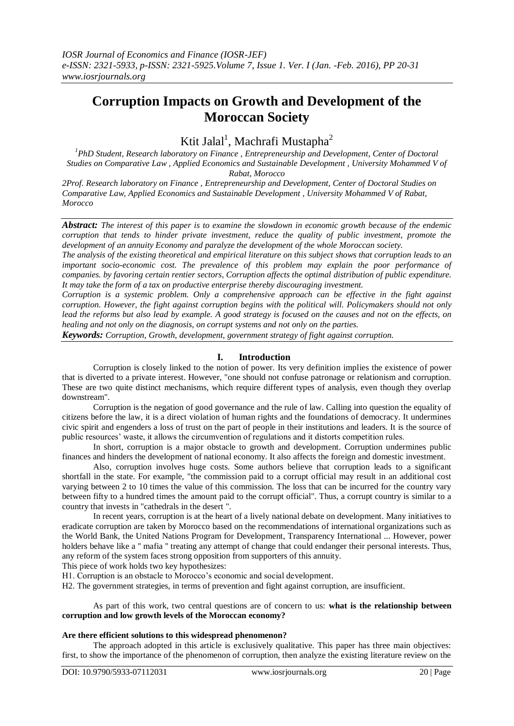# **Corruption Impacts on Growth and Development of the Moroccan Society**

# Ktit Jalal<sup>1</sup>, Machrafi Mustapha<sup>2</sup>

<sup>1</sup> PhD Student, Research laboratory on Finance, Entrepreneurship and Development, Center of Doctoral *Studies on Comparative Law , Applied Economics and Sustainable Development , University Mohammed V of Rabat, Morocco*

*2Prof. Research laboratory on Finance , Entrepreneurship and Development, Center of Doctoral Studies on Comparative Law, Applied Economics and Sustainable Development , University Mohammed V of Rabat, Morocco*

*Abstract: The interest of this paper is to examine the slowdown in economic growth because of the endemic corruption that tends to hinder private investment, reduce the quality of public investment, promote the development of an annuity Economy and paralyze the development of the whole Moroccan society.*

*The analysis of the existing theoretical and empirical literature on this subject shows that corruption leads to an important socio-economic cost. The prevalence of this problem may explain the poor performance of companies. by favoring certain rentier sectors, Corruption affects the optimal distribution of public expenditure. It may take the form of a tax on productive enterprise thereby discouraging investment.*

*Corruption is a systemic problem. Only a comprehensive approach can be effective in the fight against corruption. However, the fight against corruption begins with the political will. Policymakers should not only lead the reforms but also lead by example. A good strategy is focused on the causes and not on the effects, on healing and not only on the diagnosis, on corrupt systems and not only on the parties.*

*Keywords: Corruption, Growth, development, government strategy of fight against corruption.*

## **I. Introduction**

Corruption is closely linked to the notion of power. Its very definition implies the existence of power that is diverted to a private interest. However, "one should not confuse patronage or relationism and corruption. These are two quite distinct mechanisms, which require different types of analysis, even though they overlap downstream".

Corruption is the negation of good governance and the rule of law. Calling into question the equality of citizens before the law, it is a direct violation of human rights and the foundations of democracy. It undermines civic spirit and engenders a loss of trust on the part of people in their institutions and leaders. It is the source of public resources' waste, it allows the circumvention of regulations and it distorts competition rules.

In short, corruption is a major obstacle to growth and development. Corruption undermines public finances and hinders the development of national economy. It also affects the foreign and domestic investment.

Also, corruption involves huge costs. Some authors believe that corruption leads to a significant shortfall in the state. For example, "the commission paid to a corrupt official may result in an additional cost varying between 2 to 10 times the value of this commission. The loss that can be incurred for the country vary between fifty to a hundred times the amount paid to the corrupt official". Thus, a corrupt country is similar to a country that invests in "cathedrals in the desert ".

In recent years, corruption is at the heart of a lively national debate on development. Many initiatives to eradicate corruption are taken by Morocco based on the recommendations of international organizations such as the World Bank, the United Nations Program for Development, Transparency International ... However, power holders behave like a " mafia " treating any attempt of change that could endanger their personal interests. Thus, any reform of the system faces strong opposition from supporters of this annuity.

This piece of work holds two key hypothesizes:

H1. Corruption is an obstacle to Morocco's economic and social development.

H2. The government strategies, in terms of prevention and fight against corruption, are insufficient.

As part of this work, two central questions are of concern to us: **what is the relationship between corruption and low growth levels of the Moroccan economy?**

### **Are there efficient solutions to this widespread phenomenon?**

The approach adopted in this article is exclusively qualitative. This paper has three main objectives: first, to show the importance of the phenomenon of corruption, then analyze the existing literature review on the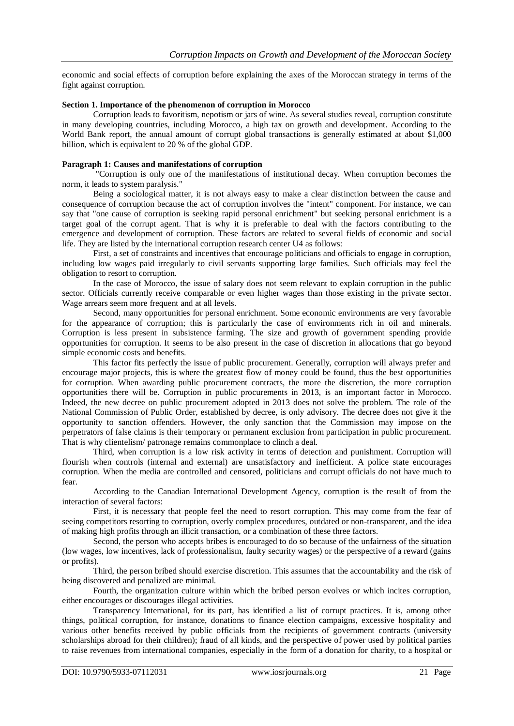economic and social effects of corruption before explaining the axes of the Moroccan strategy in terms of the fight against corruption.

#### **Section 1. Importance of the phenomenon of corruption in Morocco**

Corruption leads to favoritism, nepotism or jars of wine. As several studies reveal, corruption constitute in many developing countries, including Morocco, a high tax on growth and development. According to the World Bank report, the annual amount of corrupt global transactions is generally estimated at about \$1,000 billion, which is equivalent to 20 % of the global GDP.

#### **Paragraph 1: Causes and manifestations of corruption**

"Corruption is only one of the manifestations of institutional decay. When corruption becomes the norm, it leads to system paralysis."

Being a sociological matter, it is not always easy to make a clear distinction between the cause and consequence of corruption because the act of corruption involves the "intent" component. For instance, we can say that "one cause of corruption is seeking rapid personal enrichment" but seeking personal enrichment is a target goal of the corrupt agent. That is why it is preferable to deal with the factors contributing to the emergence and development of corruption. These factors are related to several fields of economic and social life. They are listed by the international corruption research center U4 as follows:

First, a set of constraints and incentives that encourage politicians and officials to engage in corruption, including low wages paid irregularly to civil servants supporting large families. Such officials may feel the obligation to resort to corruption.

In the case of Morocco, the issue of salary does not seem relevant to explain corruption in the public sector. Officials currently receive comparable or even higher wages than those existing in the private sector. Wage arrears seem more frequent and at all levels.

Second, many opportunities for personal enrichment. Some economic environments are very favorable for the appearance of corruption; this is particularly the case of environments rich in oil and minerals. Corruption is less present in subsistence farming. The size and growth of government spending provide opportunities for corruption. It seems to be also present in the case of discretion in allocations that go beyond simple economic costs and benefits.

This factor fits perfectly the issue of public procurement. Generally, corruption will always prefer and encourage major projects, this is where the greatest flow of money could be found, thus the best opportunities for corruption. When awarding public procurement contracts, the more the discretion, the more corruption opportunities there will be. Corruption in public procurements in 2013, is an important factor in Morocco. Indeed, the new decree on public procurement adopted in 2013 does not solve the problem. The role of the National Commission of Public Order, established by decree, is only advisory. The decree does not give it the opportunity to sanction offenders. However, the only sanction that the Commission may impose on the perpetrators of false claims is their temporary or permanent exclusion from participation in public procurement. That is why clientelism/ patronage remains commonplace to clinch a deal.

Third, when corruption is a low risk activity in terms of detection and punishment. Corruption will flourish when controls (internal and external) are unsatisfactory and inefficient. A police state encourages corruption. When the media are controlled and censored, politicians and corrupt officials do not have much to fear.

According to the Canadian International Development Agency, corruption is the result of from the interaction of several factors:

First, it is necessary that people feel the need to resort corruption. This may come from the fear of seeing competitors resorting to corruption, overly complex procedures, outdated or non-transparent, and the idea of making high profits through an illicit transaction, or a combination of these three factors.

Second, the person who accepts bribes is encouraged to do so because of the unfairness of the situation (low wages, low incentives, lack of professionalism, faulty security wages) or the perspective of a reward (gains or profits).

Third, the person bribed should exercise discretion. This assumes that the accountability and the risk of being discovered and penalized are minimal.

Fourth, the organization culture within which the bribed person evolves or which incites corruption, either encourages or discourages illegal activities.

Transparency International, for its part, has identified a list of corrupt practices. It is, among other things, political corruption, for instance, donations to finance election campaigns, excessive hospitality and various other benefits received by public officials from the recipients of government contracts (university scholarships abroad for their children); fraud of all kinds, and the perspective of power used by political parties to raise revenues from international companies, especially in the form of a donation for charity, to a hospital or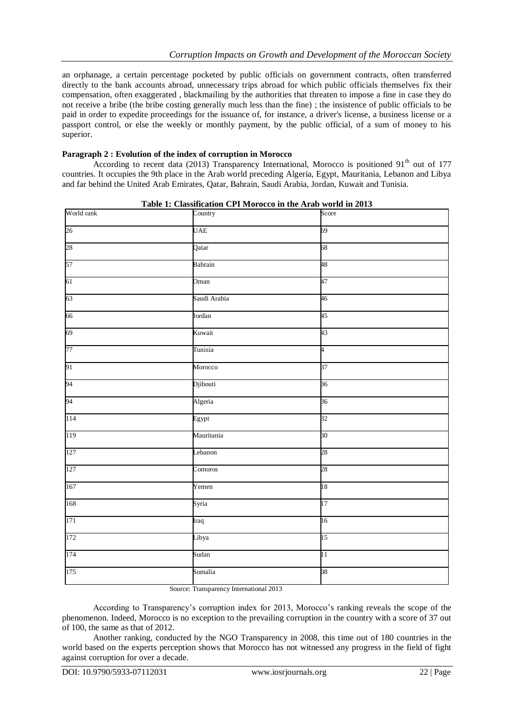an orphanage, a certain percentage pocketed by public officials on government contracts, often transferred directly to the bank accounts abroad, unnecessary trips abroad for which public officials themselves fix their compensation, often exaggerated , blackmailing by the authorities that threaten to impose a fine in case they do not receive a bribe (the bribe costing generally much less than the fine) ; the insistence of public officials to be paid in order to expedite proceedings for the issuance of, for instance, a driver's license, a business license or a passport control, or else the weekly or monthly payment, by the public official, of a sum of money to his superior.

#### **Paragraph 2 : Evolution of the index of corruption in Morocco**

According to recent data (2013) Transparency International, Morocco is positioned 91<sup>th</sup> out of 177 countries. It occupies the 9th place in the Arab world preceding Algeria, Egypt, Mauritania, Lebanon and Libya and far behind the United Arab Emirates, Qatar, Bahrain, Saudi Arabia, Jordan, Kuwait and Tunisia.

| World rank | Country      | Score           |
|------------|--------------|-----------------|
| 26         | <b>UAE</b>   | 69              |
| 28         | Qatar        | 68              |
| 57         | Bahrain      | 48              |
| 61         | Oman         | 47              |
| 63         | Saudi Arabia | 46              |
| 66         | Jordan       | 45              |
| 69         | Kuwait       | 43              |
| 77         | Tunisia      | þ.              |
| 91         | Morocco      | 37              |
| 94         | Djibouti     | 36              |
| 94         | Algeria      | 36              |
| 114        | Egypt        | 32              |
| 119        | Mauritania   | 30              |
| 127        | Lebanon      | 28              |
| 127        | Comoros      | 28              |
| 167        | Yemen        | 18              |
| 168        | Syria        | 17              |
| 171        | Iraq         | 16              |
| 172        | Libya        | 15              |
| 174        | Sudan        | $\overline{11}$ |
| 175        | Somalia      | 08              |
|            |              |                 |

|--|

Source: Transparency International 2013

According to Transparency's corruption index for 2013, Morocco's ranking reveals the scope of the phenomenon. Indeed, Morocco is no exception to the prevailing corruption in the country with a score of 37 out of 100, the same as that of 2012.

Another ranking, conducted by the NGO Transparency in 2008, this time out of 180 countries in the world based on the experts perception shows that Morocco has not witnessed any progress in the field of fight against corruption for over a decade.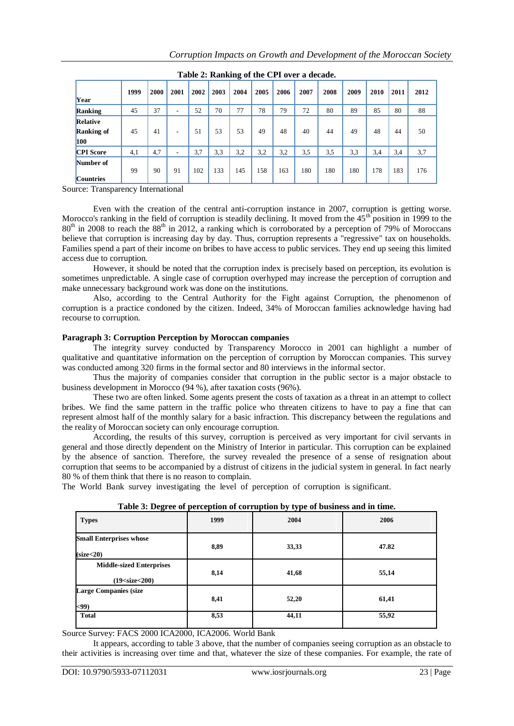| - <del>.</del> .                     |      |      |                          |      |      |      |      |      |      |      |      |      |      |      |
|--------------------------------------|------|------|--------------------------|------|------|------|------|------|------|------|------|------|------|------|
| Year                                 | 1999 | 2000 | 2001                     | 2002 | 2003 | 2004 | 2005 | 2006 | 2007 | 2008 | 2009 | 2010 | 2011 | 2012 |
| Ranking                              | 45   | 37   | ٠                        | 52   | 70   | 77   | 78   | 79   | 72   | 80   | 89   | 85   | 80   | 88   |
| Relative<br><b>Ranking of</b><br>100 | 45   | 41   | $\overline{\phantom{a}}$ | 51   | 53   | 53   | 49   | 48   | 40   | 44   | 49   | 48   | 44   | 50   |
| <b>CPI</b> Score                     | 4,1  | 4,7  | ۰                        | 3.7  | 3.3  | 3,2  | 3,2  | 3,2  | 3,5  | 3,5  | 3.3  | 3.4  | 3,4  | 3,7  |
| Number of<br><b>Countries</b>        | 99   | 90   | 91                       | 102  | 133  | 145  | 158  | 163  | 180  | 180  | 180  | 178  | 183  | 176  |

**Table 2: Ranking of the CPI over a decade.**

Source: Transparency International

Even with the creation of the central anti-corruption instance in 2007, corruption is getting worse. Morocco's ranking in the field of corruption is steadily declining. It moved from the 45<sup>th</sup> position in 1999 to the  $80<sup>th</sup>$  in 2008 to reach the  $88<sup>th</sup>$  in 2012, a ranking which is corroborated by a perception of 79% of Moroccans believe that corruption is increasing day by day. Thus, corruption represents a "regressive" tax on households. Families spend a part of their income on bribes to have access to public services. They end up seeing this limited access due to corruption.

However, it should be noted that the corruption index is precisely based on perception, its evolution is sometimes unpredictable. A single case of corruption overhyped may increase the perception of corruption and make unnecessary background work was done on the institutions.

Also, according to the Central Authority for the Fight against Corruption, the phenomenon of corruption is a practice condoned by the citizen. Indeed, 34% of Moroccan families acknowledge having had recourse to corruption.

### **Paragraph 3: Corruption Perception by Moroccan companies**

The integrity survey conducted by Transparency Morocco in 2001 can highlight a number of qualitative and quantitative information on the perception of corruption by Moroccan companies. This survey was conducted among 320 firms in the formal sector and 80 interviews in the informal sector.

Thus the majority of companies consider that corruption in the public sector is a major obstacle to business development in Morocco (94 %), after taxation costs (96%).

These two are often linked. Some agents present the costs of taxation as a threat in an attempt to collect bribes. We find the same pattern in the traffic police who threaten citizens to have to pay a fine that can represent almost half of the monthly salary for a basic infraction. This discrepancy between the regulations and the reality of Moroccan society can only encourage corruption.

According, the results of this survey, corruption is perceived as very important for civil servants in general and those directly dependent on the Ministry of Interior in particular. This corruption can be explained by the absence of sanction. Therefore, the survey revealed the presence of a sense of resignation about corruption that seems to be accompanied by a distrust of citizens in the judicial system in general. In fact nearly 80 % of them think that there is no reason to complain.

The World Bank survey investigating the level of perception of corruption is significant.

| <b>Types</b>                                            | 1999 | 2004  | 2006  |
|---------------------------------------------------------|------|-------|-------|
| <b>Small Enterprises whose</b><br>(size <sub>20</sub> ) | 8,89 | 33,33 | 47.82 |
| <b>Middle-sized Enterprises</b><br>$(19<$ size $<$ 200) | 8,14 | 41,68 | 55,14 |
| <b>Large Companies (size</b><br>$99$                    | 8,41 | 52,20 | 61,41 |
| <b>Total</b>                                            | 8,53 | 44,11 | 55,92 |

**Table 3: Degree of perception of corruption by type of business and in time.**

Source Survey: FACS 2000 ICA2000, ICA2006. World Bank

It appears, according to table 3 above, that the number of companies seeing corruption as an obstacle to their activities is increasing over time and that, whatever the size of these companies. For example, the rate of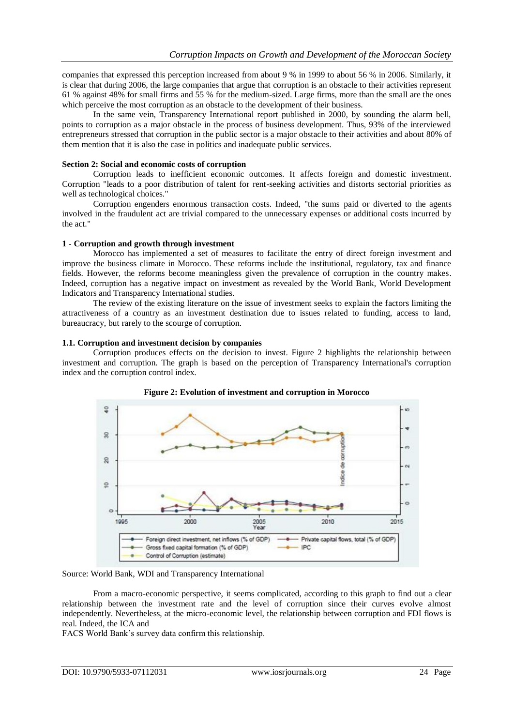companies that expressed this perception increased from about 9 % in 1999 to about 56 % in 2006. Similarly, it is clear that during 2006, the large companies that argue that corruption is an obstacle to their activities represent 61 % against 48% for small firms and 55 % for the medium-sized. Large firms, more than the small are the ones which perceive the most corruption as an obstacle to the development of their business.

In the same vein, Transparency International report published in 2000, by sounding the alarm bell, points to corruption as a major obstacle in the process of business development. Thus, 93% of the interviewed entrepreneurs stressed that corruption in the public sector is a major obstacle to their activities and about 80% of them mention that it is also the case in politics and inadequate public services.

#### **Section 2: Social and economic costs of corruption**

Corruption leads to inefficient economic outcomes. It affects foreign and domestic investment. Corruption "leads to a poor distribution of talent for rent-seeking activities and distorts sectorial priorities as well as technological choices."

Corruption engenders enormous transaction costs. Indeed, "the sums paid or diverted to the agents involved in the fraudulent act are trivial compared to the unnecessary expenses or additional costs incurred by the act."

#### **1 - Corruption and growth through investment**

Morocco has implemented a set of measures to facilitate the entry of direct foreign investment and improve the business climate in Morocco. These reforms include the institutional, regulatory, tax and finance fields. However, the reforms become meaningless given the prevalence of corruption in the country makes. Indeed, corruption has a negative impact on investment as revealed by the World Bank, World Development Indicators and Transparency International studies.

The review of the existing literature on the issue of investment seeks to explain the factors limiting the attractiveness of a country as an investment destination due to issues related to funding, access to land, bureaucracy, but rarely to the scourge of corruption.

#### **1.1. Corruption and investment decision by companies**

Corruption produces effects on the decision to invest. Figure 2 highlights the relationship between investment and corruption. The graph is based on the perception of Transparency International's corruption index and the corruption control index.





Source: World Bank, WDI and Transparency International

From a macro-economic perspective, it seems complicated, according to this graph to find out a clear relationship between the investment rate and the level of corruption since their curves evolve almost independently. Nevertheless, at the micro-economic level, the relationship between corruption and FDI flows is real. Indeed, the ICA and

FACS World Bank's survey data confirm this relationship.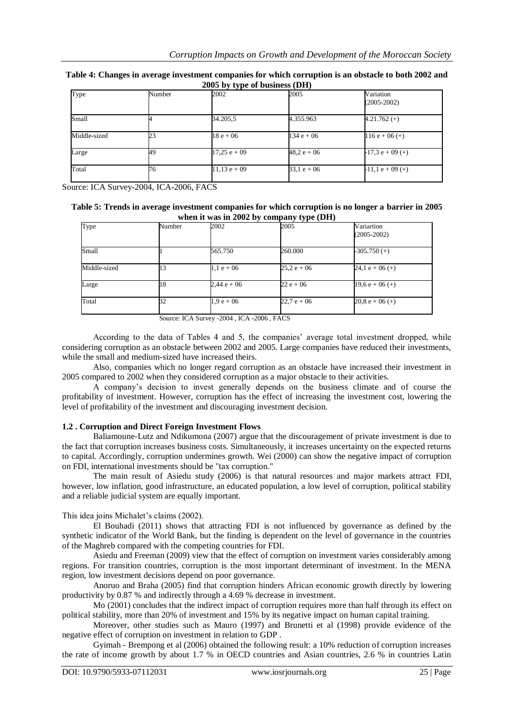| Type         | Number | 2002           | 2005          | Variation<br>$(2005 - 2002)$ |
|--------------|--------|----------------|---------------|------------------------------|
| Small        |        | 34.205,5       | 4.355.963     | $4.21.762 (+)$               |
| Middle-sized | 23     | $18e + 06$     | $134 e + 06$  | $116e + 06 (+)$              |
| Large        | 49     | $17,25 e + 09$ | $48.2 e + 06$ | $-17,3 e + 09 (+)$           |
| Total        | 76     | $11,13 e + 09$ | $33,1 e + 06$ | $-11,1 e + 09 (+)$           |

#### **Table 4: Changes in average investment companies for which corruption is an obstacle to both 2002 and 2005 by type of business (DH)**

Source: ICA Survey-2004, ICA-2006, FACS

#### **Table 5: Trends in average investment companies for which corruption is no longer a barrier in 2005 when it was in 2002 by company type (DH)**

| Type         | Number | 2002         | 2005          | Variartion<br>$(2005 - 2002)$ |
|--------------|--------|--------------|---------------|-------------------------------|
| Small        |        | 565.750      | 260.000       | $-305.750 (+)$                |
| Middle-sized | 13     | $1,1 e + 06$ | $25.2 e + 06$ | 24,1 e + 06 $(+)$             |
| Large        | 18     | $2,44e + 06$ | $22e + 06$    | $19.6 e + 06 (+)$             |
| Total        | 32     | $1.9 e + 06$ | $22.7 e + 06$ | $20.8 e + 06 (+)$             |

Source: ICA Survey -2004 , ICA -2006 , FACS

According to the data of Tables 4 and 5, the companies' average total investment dropped, while considering corruption as an obstacle between 2002 and 2005. Large companies have reduced their investments, while the small and medium-sized have increased theirs.

Also, companies which no longer regard corruption as an obstacle have increased their investment in 2005 compared to 2002 when they considered corruption as a major obstacle to their activities.

A company's decision to invest generally depends on the business climate and of course the profitability of investment. However, corruption has the effect of increasing the investment cost, lowering the level of profitability of the investment and discouraging investment decision.

## **1.2 . Corruption and Direct Foreign Investment Flows**

Baliamoune-Lutz and Ndikumona (2007) argue that the discouragement of private investment is due to the fact that corruption increases business costs. Simultaneously, it increases uncertainty on the expected returns to capital. Accordingly, corruption undermines growth. Wei (2000) can show the negative impact of corruption on FDI, international investments should be "tax corruption."

The main result of Asiedu study (2006) is that natural resources and major markets attract FDI, however, low inflation, good infrastructure, an educated population, a low level of corruption, political stability and a reliable judicial system are equally important.

This idea joins Michalet's claims (2002).

El Bouhadi (2011) shows that attracting FDI is not influenced by governance as defined by the synthetic indicator of the World Bank, but the finding is dependent on the level of governance in the countries of the Maghreb compared with the competing countries for FDI.

Asiedu and Freeman (2009) view that the effect of corruption on investment varies considerably among regions. For transition countries, corruption is the most important determinant of investment. In the MENA region, low investment decisions depend on poor governance.

Anoruo and Braha (2005) find that corruption hinders African economic growth directly by lowering productivity by 0.87 % and indirectly through a 4.69 % decrease in investment.

Mo (2001) concludes that the indirect impact of corruption requires more than half through its effect on political stability, more than 20% of investment and 15% by its negative impact on human capital training.

Moreover, other studies such as Mauro (1997) and Brunetti et al (1998) provide evidence of the negative effect of corruption on investment in relation to GDP .

Gyimah - Brempong et al (2006) obtained the following result: a 10% reduction of corruption increases the rate of income growth by about 1.7 % in OECD countries and Asian countries, 2.6 % in countries Latin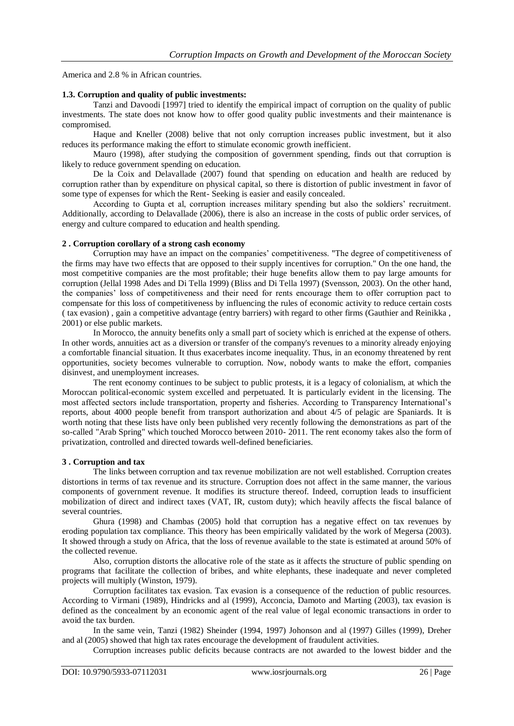America and 2.8 % in African countries.

#### **1.3. Corruption and quality of public investments:**

Tanzi and Davoodi [1997] tried to identify the empirical impact of corruption on the quality of public investments. The state does not know how to offer good quality public investments and their maintenance is compromised.

Haque and Kneller (2008) belive that not only corruption increases public investment, but it also reduces its performance making the effort to stimulate economic growth inefficient.

Mauro (1998), after studying the composition of government spending, finds out that corruption is likely to reduce government spending on education.

De la Coix and Delavallade (2007) found that spending on education and health are reduced by corruption rather than by expenditure on physical capital, so there is distortion of public investment in favor of some type of expenses for which the Rent- Seeking is easier and easily concealed.

According to Gupta et al, corruption increases military spending but also the soldiers' recruitment. Additionally, according to Delavallade (2006), there is also an increase in the costs of public order services, of energy and culture compared to education and health spending.

#### **2 . Corruption corollary of a strong cash economy**

Corruption may have an impact on the companies' competitiveness. "The degree of competitiveness of the firms may have two effects that are opposed to their supply incentives for corruption." On the one hand, the most competitive companies are the most profitable; their huge benefits allow them to pay large amounts for corruption (Jellal 1998 Ades and Di Tella 1999) (Bliss and Di Tella 1997) (Svensson, 2003). On the other hand, the companies' loss of competitiveness and their need for rents encourage them to offer corruption pact to compensate for this loss of competitiveness by influencing the rules of economic activity to reduce certain costs ( tax evasion) , gain a competitive advantage (entry barriers) with regard to other firms (Gauthier and Reinikka , 2001) or else public markets.

In Morocco, the annuity benefits only a small part of society which is enriched at the expense of others. In other words, annuities act as a diversion or transfer of the company's revenues to a minority already enjoying a comfortable financial situation. It thus exacerbates income inequality. Thus, in an economy threatened by rent opportunities, society becomes vulnerable to corruption. Now, nobody wants to make the effort, companies disinvest, and unemployment increases.

The rent economy continues to be subject to public protests, it is a legacy of colonialism, at which the Moroccan political-economic system excelled and perpetuated. It is particularly evident in the licensing. The most affected sectors include transportation, property and fisheries. According to Transparency International's reports, about 4000 people benefit from transport authorization and about 4/5 of pelagic are Spaniards. It is worth noting that these lists have only been published very recently following the demonstrations as part of the so-called "Arab Spring" which touched Morocco between 2010- 2011. The rent economy takes also the form of privatization, controlled and directed towards well-defined beneficiaries.

#### **3 . Corruption and tax**

The links between corruption and tax revenue mobilization are not well established. Corruption creates distortions in terms of tax revenue and its structure. Corruption does not affect in the same manner, the various components of government revenue. It modifies its structure thereof. Indeed, corruption leads to insufficient mobilization of direct and indirect taxes (VAT, IR, custom duty); which heavily affects the fiscal balance of several countries.

Ghura (1998) and Chambas (2005) hold that corruption has a negative effect on tax revenues by eroding population tax compliance. This theory has been empirically validated by the work of Megersa (2003). It showed through a study on Africa, that the loss of revenue available to the state is estimated at around 50% of the collected revenue.

Also, corruption distorts the allocative role of the state as it affects the structure of public spending on programs that facilitate the collection of bribes, and white elephants, these inadequate and never completed projects will multiply (Winston, 1979).

Corruption facilitates tax evasion. Tax evasion is a consequence of the reduction of public resources. According to Virmani (1989), Hindricks and al (1999), Acconcia, Damoto and Marting (2003), tax evasion is defined as the concealment by an economic agent of the real value of legal economic transactions in order to avoid the tax burden.

In the same vein, Tanzi (1982) Sheinder (1994, 1997) Johonson and al (1997) Gilles (1999), Dreher and al (2005) showed that high tax rates encourage the development of fraudulent activities.

Corruption increases public deficits because contracts are not awarded to the lowest bidder and the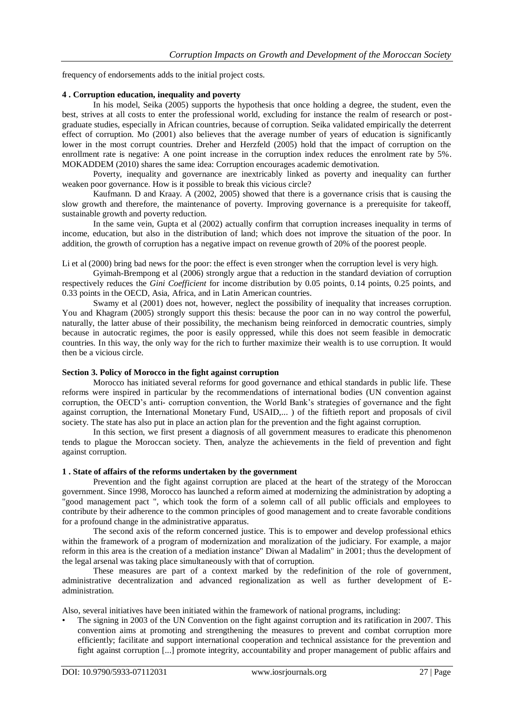frequency of endorsements adds to the initial project costs.

#### **4 . Corruption education, inequality and poverty**

In his model, Seika (2005) supports the hypothesis that once holding a degree, the student, even the best, strives at all costs to enter the professional world, excluding for instance the realm of research or postgraduate studies, especially in African countries, because of corruption. Seika validated empirically the deterrent effect of corruption. Mo (2001) also believes that the average number of years of education is significantly lower in the most corrupt countries. Dreher and Herzfeld (2005) hold that the impact of corruption on the enrollment rate is negative: A one point increase in the corruption index reduces the enrolment rate by 5%. MOKADDEM (2010) shares the same idea: Corruption encourages academic demotivation.

Poverty, inequality and governance are inextricably linked as poverty and inequality can further weaken poor governance. How is it possible to break this vicious circle?

Kaufmann. D and Kraay. A (2002, 2005) showed that there is a governance crisis that is causing the slow growth and therefore, the maintenance of poverty. Improving governance is a prerequisite for takeoff, sustainable growth and poverty reduction.

In the same vein, Gupta et al (2002) actually confirm that corruption increases inequality in terms of income, education, but also in the distribution of land; which does not improve the situation of the poor. In addition, the growth of corruption has a negative impact on revenue growth of 20% of the poorest people.

Li et al (2000) bring bad news for the poor: the effect is even stronger when the corruption level is very high.

Gyimah-Brempong et al (2006) strongly argue that a reduction in the standard deviation of corruption respectively reduces the *Gini Coefficient* for income distribution by 0.05 points, 0.14 points, 0.25 points, and 0.33 points in the OECD, Asia, Africa, and in Latin American countries.

Swamy et al (2001) does not, however, neglect the possibility of inequality that increases corruption. You and Khagram (2005) strongly support this thesis: because the poor can in no way control the powerful, naturally, the latter abuse of their possibility, the mechanism being reinforced in democratic countries, simply because in autocratic regimes, the poor is easily oppressed, while this does not seem feasible in democratic countries. In this way, the only way for the rich to further maximize their wealth is to use corruption. It would then be a vicious circle.

#### **Section 3. Policy of Morocco in the fight against corruption**

Morocco has initiated several reforms for good governance and ethical standards in public life. These reforms were inspired in particular by the recommendations of international bodies (UN convention against corruption, the OECD's anti- corruption convention, the World Bank's strategies of governance and the fight against corruption, the International Monetary Fund, USAID,... ) of the fiftieth report and proposals of civil society. The state has also put in place an action plan for the prevention and the fight against corruption.

In this section, we first present a diagnosis of all government measures to eradicate this phenomenon tends to plague the Moroccan society. Then, analyze the achievements in the field of prevention and fight against corruption.

#### **1 . State of affairs of the reforms undertaken by the government**

Prevention and the fight against corruption are placed at the heart of the strategy of the Moroccan government. Since 1998, Morocco has launched a reform aimed at modernizing the administration by adopting a "good management pact ", which took the form of a solemn call of all public officials and employees to contribute by their adherence to the common principles of good management and to create favorable conditions for a profound change in the administrative apparatus.

The second axis of the reform concerned justice. This is to empower and develop professional ethics within the framework of a program of modernization and moralization of the judiciary. For example, a major reform in this area is the creation of a mediation instance" Diwan al Madalim" in 2001; thus the development of the legal arsenal was taking place simultaneously with that of corruption.

These measures are part of a context marked by the redefinition of the role of government, administrative decentralization and advanced regionalization as well as further development of Eadministration.

Also, several initiatives have been initiated within the framework of national programs, including:

• The signing in 2003 of the UN Convention on the fight against corruption and its ratification in 2007. This convention aims at promoting and strengthening the measures to prevent and combat corruption more efficiently; facilitate and support international cooperation and technical assistance for the prevention and fight against corruption [...] promote integrity, accountability and proper management of public affairs and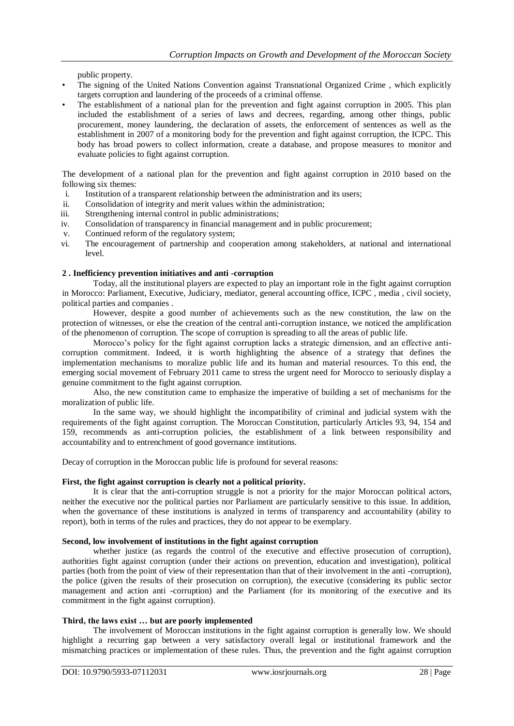public property.

- The signing of the United Nations Convention against Transnational Organized Crime , which explicitly targets corruption and laundering of the proceeds of a criminal offense.
- The establishment of a national plan for the prevention and fight against corruption in 2005. This plan included the establishment of a series of laws and decrees, regarding, among other things, public procurement, money laundering, the declaration of assets, the enforcement of sentences as well as the establishment in 2007 of a monitoring body for the prevention and fight against corruption, the ICPC. This body has broad powers to collect information, create a database, and propose measures to monitor and evaluate policies to fight against corruption.

The development of a national plan for the prevention and fight against corruption in 2010 based on the following six themes:

- i. Institution of a transparent relationship between the administration and its users;
- ii. Consolidation of integrity and merit values within the administration;
- iii. Strengthening internal control in public administrations;
- iv. Consolidation of transparency in financial management and in public procurement;
- v. Continued reform of the regulatory system;
- vi. The encouragement of partnership and cooperation among stakeholders, at national and international level.

#### **2 . Inefficiency prevention initiatives and anti -corruption**

Today, all the institutional players are expected to play an important role in the fight against corruption in Morocco: Parliament, Executive, Judiciary, mediator, general accounting office, ICPC , media , civil society, political parties and companies .

However, despite a good number of achievements such as the new constitution, the law on the protection of witnesses, or else the creation of the central anti-corruption instance, we noticed the amplification of the phenomenon of corruption. The scope of corruption is spreading to all the areas of public life.

Morocco's policy for the fight against corruption lacks a strategic dimension, and an effective anticorruption commitment. Indeed, it is worth highlighting the absence of a strategy that defines the implementation mechanisms to moralize public life and its human and material resources. To this end, the emerging social movement of February 2011 came to stress the urgent need for Morocco to seriously display a genuine commitment to the fight against corruption.

Also, the new constitution came to emphasize the imperative of building a set of mechanisms for the moralization of public life.

In the same way, we should highlight the incompatibility of criminal and judicial system with the requirements of the fight against corruption. The Moroccan Constitution, particularly Articles 93, 94, 154 and 159, recommends as anti-corruption policies, the establishment of a link between responsibility and accountability and to entrenchment of good governance institutions.

Decay of corruption in the Moroccan public life is profound for several reasons:

#### **First, the fight against corruption is clearly not a political priority.**

It is clear that the anti-corruption struggle is not a priority for the major Moroccan political actors, neither the executive nor the political parties nor Parliament are particularly sensitive to this issue. In addition, when the governance of these institutions is analyzed in terms of transparency and accountability (ability to report), both in terms of the rules and practices, they do not appear to be exemplary.

#### **Second, low involvement of institutions in the fight against corruption**

whether justice (as regards the control of the executive and effective prosecution of corruption), authorities fight against corruption (under their actions on prevention, education and investigation), political parties (both from the point of view of their representation than that of their involvement in the anti -corruption), the police (given the results of their prosecution on corruption), the executive (considering its public sector management and action anti -corruption) and the Parliament (for its monitoring of the executive and its commitment in the fight against corruption).

#### **Third, the laws exist … but are poorly implemented**

The involvement of Moroccan institutions in the fight against corruption is generally low. We should highlight a recurring gap between a very satisfactory overall legal or institutional framework and the mismatching practices or implementation of these rules. Thus, the prevention and the fight against corruption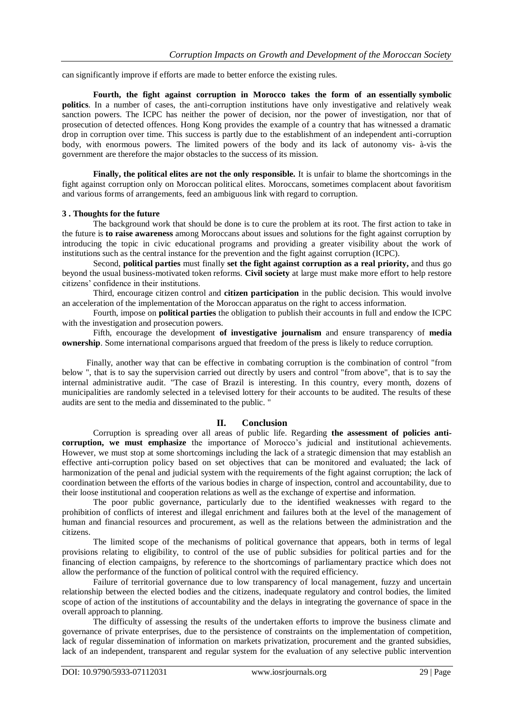can significantly improve if efforts are made to better enforce the existing rules.

**Fourth, the fight against corruption in Morocco takes the form of an essentially symbolic politics**. In a number of cases, the anti-corruption institutions have only investigative and relatively weak sanction powers. The ICPC has neither the power of decision, nor the power of investigation, nor that of prosecution of detected offences. Hong Kong provides the example of a country that has witnessed a dramatic drop in corruption over time. This success is partly due to the establishment of an independent anti-corruption body, with enormous powers. The limited powers of the body and its lack of autonomy vis- à-vis the government are therefore the major obstacles to the success of its mission.

**Finally, the political elites are not the only responsible.** It is unfair to blame the shortcomings in the fight against corruption only on Moroccan political elites. Moroccans, sometimes complacent about favoritism and various forms of arrangements, feed an ambiguous link with regard to corruption.

#### **3 . Thoughts for the future**

The background work that should be done is to cure the problem at its root. The first action to take in the future is **to raise awareness** among Moroccans about issues and solutions for the fight against corruption by introducing the topic in civic educational programs and providing a greater visibility about the work of institutions such as the central instance for the prevention and the fight against corruption (ICPC).

Second, **political parties** must finally **set the fight against corruption as a real priority,** and thus go beyond the usual business-motivated token reforms. **Civil society** at large must make more effort to help restore citizens' confidence in their institutions.

Third, encourage citizen control and **citizen participation** in the public decision. This would involve an acceleration of the implementation of the Moroccan apparatus on the right to access information.

Fourth, impose on **political parties** the obligation to publish their accounts in full and endow the ICPC with the investigation and prosecution powers.

Fifth, encourage the development **of investigative journalism** and ensure transparency of **media ownership**. Some international comparisons argued that freedom of the press is likely to reduce corruption.

Finally, another way that can be effective in combating corruption is the combination of control "from below ", that is to say the supervision carried out directly by users and control "from above", that is to say the internal administrative audit. "The case of Brazil is interesting. In this country, every month, dozens of municipalities are randomly selected in a televised lottery for their accounts to be audited. The results of these audits are sent to the media and disseminated to the public. "

#### **II. Conclusion**

Corruption is spreading over all areas of public life. Regarding **the assessment of policies anticorruption, we must emphasize** the importance of Morocco's judicial and institutional achievements. However, we must stop at some shortcomings including the lack of a strategic dimension that may establish an effective anti-corruption policy based on set objectives that can be monitored and evaluated; the lack of harmonization of the penal and judicial system with the requirements of the fight against corruption; the lack of coordination between the efforts of the various bodies in charge of inspection, control and accountability, due to their loose institutional and cooperation relations as well as the exchange of expertise and information.

The poor public governance, particularly due to the identified weaknesses with regard to the prohibition of conflicts of interest and illegal enrichment and failures both at the level of the management of human and financial resources and procurement, as well as the relations between the administration and the citizens.

The limited scope of the mechanisms of political governance that appears, both in terms of legal provisions relating to eligibility, to control of the use of public subsidies for political parties and for the financing of election campaigns, by reference to the shortcomings of parliamentary practice which does not allow the performance of the function of political control with the required efficiency.

Failure of territorial governance due to low transparency of local management, fuzzy and uncertain relationship between the elected bodies and the citizens, inadequate regulatory and control bodies, the limited scope of action of the institutions of accountability and the delays in integrating the governance of space in the overall approach to planning.

The difficulty of assessing the results of the undertaken efforts to improve the business climate and governance of private enterprises, due to the persistence of constraints on the implementation of competition, lack of regular dissemination of information on markets privatization, procurement and the granted subsidies, lack of an independent, transparent and regular system for the evaluation of any selective public intervention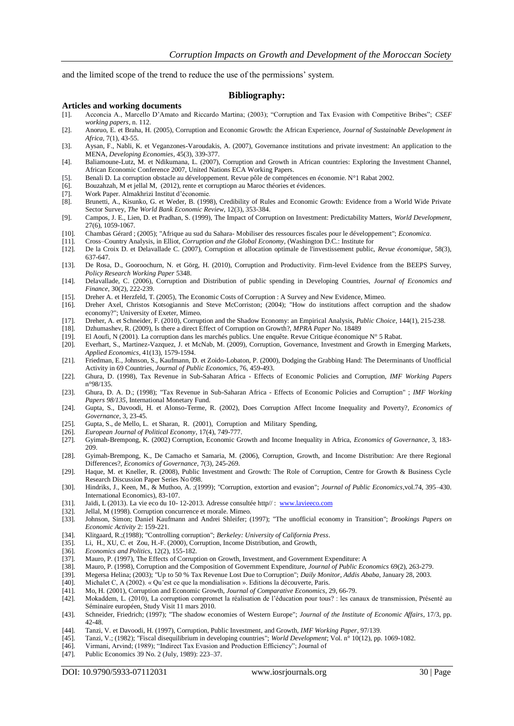and the limited scope of the trend to reduce the use of the permissions' system.

#### **Bibliography:**

#### **Articles and working documents**

- [1]. Acconcia A., Marcello D'Amato and Riccardo Martina; (2003); "Corruption and Tax Evasion with Competitive Bribes"; *CSEF working papers*, n. 112.
- [2]. Anoruo, E. et Braha, H. (2005), Corruption and Economic Growth: the African Experience, *Journal of Sustainable Development in Africa,* 7(1), 43-55.
- [3]. Aysan, F., Nabli, K. et Veganzones-Varoudakis, A. (2007), Governance institutions and private investment: An application to the MENA, *Developing Economies*, 45(3), 339-377.
- [4]. Baliamoune-Lutz, M. et Ndikumana, L. (2007), Corruption and Growth in African countries: Exploring the Investment Channel, African Economic Conference 2007, United Nations ECA Working Papers.
- [5]. Benali D. La corruption obstacle au développement. Revue pôle de compétences en économie. N°1 Rabat 2002.
- [6]. Bouzahzah, M et jellal M, (2012), rente et corruptiopn au Maroc théories et évidences.
- [7]. Work Paper. Almakhrizi Institut d'économie.
- [8]. Brunetti, A., Kisunko, G. et Weder, B. (1998), Credibility of Rules and Economic Growth: Evidence from a World Wide Private Sector Survey, *The World Bank Economic Review*, 12(3), 353-384.
- [9]. Campos, J. E., Lien, D. et Pradhan, S. (1999), The Impact of Corruption on Investment: Predictability Matters, *World Development*, 27(6), 1059-1067.
- [10]. Chambas Gérard ; (2005); "Afrique au sud du Sahara- Mobiliser des ressources fiscales pour le développement"; *Economica*.
- 
- [11]. Cross–Country Analysis, in Elliot, *Corruption and the Global Economy*, (Washington D.C.: Institute for [12]. De la Croix D. et Delavallade C. (2007), Corruption et allocation optimale de l'investissement public, *Revue économique*, 58(3), 637-647.
- [13]. De Rosa, D., Gooroochurn, N. et Görg, H. (2010), Corruption and Productivity. Firm-level Evidence from the BEEPS Survey, *Policy Research Working Paper* 5348.
- [14]. Delavallade, C. (2006), Corruption and Distribution of public spending in Developing Countries, *Journal of Economics and Finance*, 30(2), 222-239.
- [15]. Dreher A. et Herzfeld, T. (2005), The Economic Costs of Corruption : A Survey and New Evidence, Mimeo.<br>[16]. Dreher Axel, Christos Kotsogiannis and Steve McCorriston; (2004); "How do institutions affect corru
- Dreher Axel, Christos Kotsogiannis and Steve McCorriston; (2004); "How do institutions affect corruption and the shadow economy?"; University of Exeter, Mimeo.
- [17]. Dreher, A. et Schneider, F. (2010), Corruption and the Shadow Economy: an Empirical Analysis, *Public Choice*, 144(1), 215-238.
- [18]. Dzhumashev, R. (2009), Is there a direct Effect of Corruption on Growth?, *MPRA Paper* No. 18489
- El Aoufi, N (2001). La corruption dans les marchés publics. Une enquête. Revue Critique économique N° 5 Rabat.
- [20]. Everhart, S., Martinez-Vazquez, J. et McNab, M. (2009), Corruption, Governance, Investment and Growth in Emerging Markets, *Applied Economics*, 41(13), 1579-1594.
- [21]. Friedman, E., Johnson, S., Kaufmann, D. et Zoido-Lobaton, P. (2000), Dodging the Grabbing Hand: The Determinants of Unofficial Activity in 69 Countries, *Journal of Public Economics*, 76, 459-493.
- [22]. Ghura, D. (1998), Tax Revenue in Sub-Saharan Africa Effects of Economic Policies and Corruption, *IMF Working Papers* n°98/135.
- [23]. Ghura, D. A. D.; (1998); "Tax Revenue in Sub-Saharan Africa Effects of Economic Policies and Corruption" ; *IMF Working Papers 98/135,* International Monetary Fund.
- [24]. Gupta, S., Davoodi, H. et Alonso-Terme, R. (2002), Does Corruption Affect Income Inequality and Poverty?, *Economics of Governance*, 3, 23-45.
- [25]. Gupta, S., de Mello, L. et Sharan, R. (2001), Corruption and Military Spending,
- [26]. *European Journal of Political Economy*, 17(4), 749-777.
- [27]. Gyimah-Brempong, K. (2002) Corruption, Economic Growth and Income Inequality in Africa, *Economics of Governance*, 3, 183- 209.
- [28]. Gyimah-Brempong, K., De Camacho et Samaria, M. (2006), Corruption, Growth, and Income Distribution: Are there Regional Differences?, *Economics of Governance*, 7(3), 245-269.
- [29]. Haque, M. et Kneller, R. (2008), Public Investment and Growth: The Role of Corruption, Centre for Growth & Business Cycle Research Discussion Paper Series No 098.
- [30]. Hindriks, J., Keen, M., & Muthoo, A. ;(1999); "Corruption, extortion and evasion"; *Journal of Public Economics*,vol.74, 395–430. International Economics), 83-107.
- [31]. Jaïdi, L (2013). La vie eco du 10- 12-2013. Adresse consultée http//[: www.lavieeco.com](http://www.lavieeco.com/)
- [32]. Jellal, M (1998). Corruption concurrence et morale. Mimeo.
- [33]. Johnson, Simon; Daniel Kaufmann and Andrei Shleifer; (1997); "The unofficial economy in Transition"; *Brookings Papers on Economic Activity* 2: 159-221.
- [34]. Klitgaard, R.;(1988); "Controlling corruption"; *Berkeley: University of California Press*.
- [35]. Li, H., XU, C. et Zou, H.-F. (2000), Corruption, Income Distribution, and Growth,
- [36]. *Economics and Politics*, 12(2), 155-182.
- [37]. Mauro, P. (1997), The Effects of Corruption on Growth, Investment, and Government Expenditure: A
- [38]. Mauro, P. (1998), Corruption and the Composition of Government Expenditure, *Journal of Public Economics* 69(2), 263-279.
- [39]. Megersa Helina; (2003); "Up to 50 % Tax Revenue Lost Due to Corruption"; *Daily Monitor, Addis Ababa*, January 28, 2003.
- [40]. Michalet C, A (2002). « Qu'est ce que la mondialisation ». Editions la découverte, Paris. [41]. Mo, H. (2001). Corruption and Economic Growth, *Journal of Comparative Economics*,
- [41]. Mo, H. (2001), Corruption and Economic Growth, *Journal of Comparative Economics*, 29, 66-79.
- [42]. Mokaddem, L. (2010), La corruption compromet la réalisation de l'éducation pour tous? : les canaux de transmission, Présenté au Séminaire européen, Study Visit 11 mars 2010.
- [43]. Schneider, Friedrich; (1997); "The shadow economies of Western Europe"; *Journal of the Institute of Economic Affairs*, 17/3, pp. 42-48.
- [44]. Tanzi, V. et Davoodi, H. (1997), Corruption, Public Investment, and Growth, *IMF Working Paper*, 97/139.
- [45]. Tanzi, V.; (1982); "Fiscal disequilibrium in developing countries"; *World Development*; Vol. n° 10(12), pp. 1069-1082. [46]. Virmani, Arvind; (1989); "Indirect Tax Evasion and Production Efficiency"; Journal of
- Virmani, Arvind; (1989); "Indirect Tax Evasion and Production Efficiency"; Journal of
- [47]. Public Economics 39 No. 2 (July, 1989): 223–37.